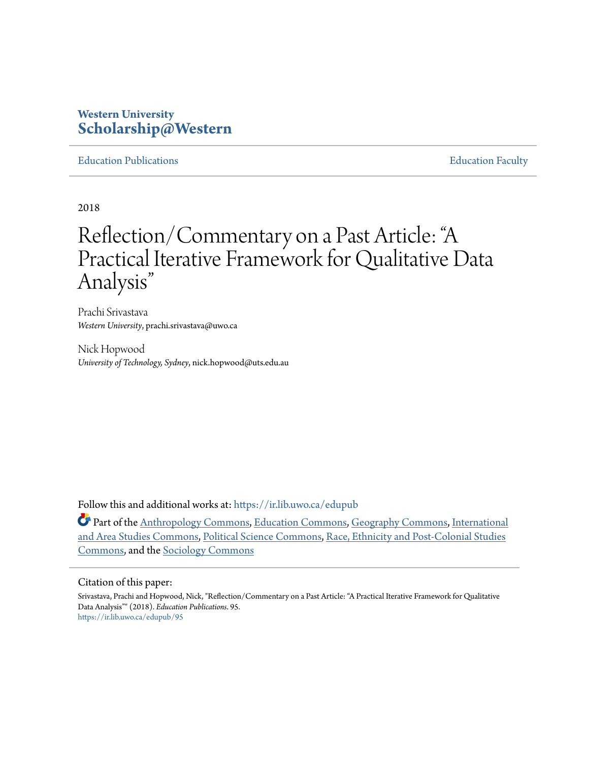### **Western University [Scholarship@Western](https://ir.lib.uwo.ca?utm_source=ir.lib.uwo.ca%2Fedupub%2F95&utm_medium=PDF&utm_campaign=PDFCoverPages)**

#### [Education Publications](https://ir.lib.uwo.ca/edupub?utm_source=ir.lib.uwo.ca%2Fedupub%2F95&utm_medium=PDF&utm_campaign=PDFCoverPages) **[Education Faculty](https://ir.lib.uwo.ca/edu?utm_source=ir.lib.uwo.ca%2Fedupub%2F95&utm_medium=PDF&utm_campaign=PDFCoverPages)**

2018

# Reflection/Commentary on a Past Article: "A Practical Iterative Framework for Qualitative Data Analysis "

Prachi Srivastava *Western University*, prachi.srivastava@uwo.ca

Nick Hopwood *University of Technology, Sydney*, nick.hopwood@uts.edu.au

Follow this and additional works at: [https://ir.lib.uwo.ca/edupub](https://ir.lib.uwo.ca/edupub?utm_source=ir.lib.uwo.ca%2Fedupub%2F95&utm_medium=PDF&utm_campaign=PDFCoverPages)

Part of the [Anthropology Commons](http://network.bepress.com/hgg/discipline/318?utm_source=ir.lib.uwo.ca%2Fedupub%2F95&utm_medium=PDF&utm_campaign=PDFCoverPages), [Education Commons,](http://network.bepress.com/hgg/discipline/784?utm_source=ir.lib.uwo.ca%2Fedupub%2F95&utm_medium=PDF&utm_campaign=PDFCoverPages) [Geography Commons](http://network.bepress.com/hgg/discipline/354?utm_source=ir.lib.uwo.ca%2Fedupub%2F95&utm_medium=PDF&utm_campaign=PDFCoverPages), [International](http://network.bepress.com/hgg/discipline/360?utm_source=ir.lib.uwo.ca%2Fedupub%2F95&utm_medium=PDF&utm_campaign=PDFCoverPages) [and Area Studies Commons](http://network.bepress.com/hgg/discipline/360?utm_source=ir.lib.uwo.ca%2Fedupub%2F95&utm_medium=PDF&utm_campaign=PDFCoverPages), [Political Science Commons](http://network.bepress.com/hgg/discipline/386?utm_source=ir.lib.uwo.ca%2Fedupub%2F95&utm_medium=PDF&utm_campaign=PDFCoverPages), [Race, Ethnicity and Post-Colonial Studies](http://network.bepress.com/hgg/discipline/566?utm_source=ir.lib.uwo.ca%2Fedupub%2F95&utm_medium=PDF&utm_campaign=PDFCoverPages) [Commons,](http://network.bepress.com/hgg/discipline/566?utm_source=ir.lib.uwo.ca%2Fedupub%2F95&utm_medium=PDF&utm_campaign=PDFCoverPages) and the [Sociology Commons](http://network.bepress.com/hgg/discipline/416?utm_source=ir.lib.uwo.ca%2Fedupub%2F95&utm_medium=PDF&utm_campaign=PDFCoverPages)

#### Citation of this paper:

Srivastava, Prachi and Hopwood, Nick, "Reflection/Commentary on a Past Article: "A Practical Iterative Framework for Qualitative Data Analysis"" (2018). *Education Publications*. 95. [https://ir.lib.uwo.ca/edupub/95](https://ir.lib.uwo.ca/edupub/95?utm_source=ir.lib.uwo.ca%2Fedupub%2F95&utm_medium=PDF&utm_campaign=PDFCoverPages)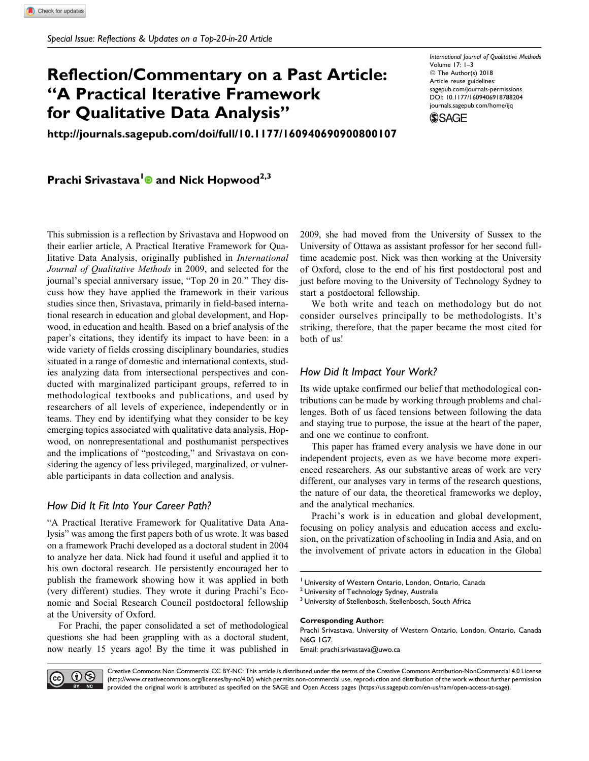## Reflection/Commentary on a Past Article: "A Practical Iterative Framework for Qualitative Data Analysis"

International Journal of Qualitative Methods Volume 17: 1–3 © The Author(s) 2018 Article reuse guidelines: [sagepub.com/journals-permissions](https://sagepub.com/journals-permissions) [DOI: 10.1177/1609406918788204](https://doi.org/10.1177/1609406918788204) [journals.sagepub.com/home/ijq](http://journals.sagepub.com/home/ijq)



<http://journals.sagepub.com/doi/full/10.1177/160940690900800107>

Prachi Srivastava<sup>[1](http://orcid.org/0000-0003-4865-8963)</sup> and Nick Hopwood<sup>2,3</sup>

This submission is a reflection by Srivastava and Hopwood on their earlier article, A Practical Iterative Framework for Qualitative Data Analysis, originally published in International Journal of Qualitative Methods in 2009, and selected for the journal's special anniversary issue, "Top 20 in 20." They discuss how they have applied the framework in their various studies since then, Srivastava, primarily in field-based international research in education and global development, and Hopwood, in education and health. Based on a brief analysis of the paper's citations, they identify its impact to have been: in a wide variety of fields crossing disciplinary boundaries, studies situated in a range of domestic and international contexts, studies analyzing data from intersectional perspectives and conducted with marginalized participant groups, referred to in methodological textbooks and publications, and used by researchers of all levels of experience, independently or in teams. They end by identifying what they consider to be key emerging topics associated with qualitative data analysis, Hopwood, on nonrepresentational and posthumanist perspectives and the implications of "postcoding," and Srivastava on considering the agency of less privileged, marginalized, or vulnerable participants in data collection and analysis.

#### How Did It Fit Into Your Career Path?

"A Practical Iterative Framework for Qualitative Data Analysis" was among the first papers both of us wrote. It was based on a framework Prachi developed as a doctoral student in 2004 to analyze her data. Nick had found it useful and applied it to his own doctoral research. He persistently encouraged her to publish the framework showing how it was applied in both (very different) studies. They wrote it during Prachi's Economic and Social Research Council postdoctoral fellowship at the University of Oxford.

For Prachi, the paper consolidated a set of methodological questions she had been grappling with as a doctoral student, now nearly 15 years ago! By the time it was published in 2009, she had moved from the University of Sussex to the University of Ottawa as assistant professor for her second fulltime academic post. Nick was then working at the University of Oxford, close to the end of his first postdoctoral post and just before moving to the University of Technology Sydney to start a postdoctoral fellowship.

We both write and teach on methodology but do not consider ourselves principally to be methodologists. It's striking, therefore, that the paper became the most cited for both of us!

#### How Did It Impact Your Work?

Its wide uptake confirmed our belief that methodological contributions can be made by working through problems and challenges. Both of us faced tensions between following the data and staying true to purpose, the issue at the heart of the paper, and one we continue to confront.

This paper has framed every analysis we have done in our independent projects, even as we have become more experienced researchers. As our substantive areas of work are very different, our analyses vary in terms of the research questions, the nature of our data, the theoretical frameworks we deploy, and the analytical mechanics.

Prachi's work is in education and global development, focusing on policy analysis and education access and exclusion, on the privatization of schooling in India and Asia, and on the involvement of private actors in education in the Global

Corresponding Author:

Prachi Srivastava, University of Western Ontario, London, Ontario, Canada N6G 1G7.

Email: [prachi.srivastava@uwo.ca](mailto:prachi.srivastava@uwo.ca)



Creative Commons Non Commercial CC BY-NC: This article is distributed under the terms of the Creative Commons Attribution-NonCommercial 4.0 License ([http://www.creativecommons.org/licenses/by-nc/4.0/\)](http://www.creativecommons.org/licenses/by-nc/4.0/) which permits non-commercial use, reproduction and distribution of the work without further permission provided the original work is attributed as specified on the SAGE and Open Access pages [\(https://us.sagepub.com/en-us/nam/open-access-at-sage\)](https://us.sagepub.com/en-us/nam/open-access-at-sage).

<sup>&</sup>lt;sup>1</sup> University of Western Ontario, London, Ontario, Canada

<sup>&</sup>lt;sup>2</sup> University of Technology Sydney, Australia

<sup>&</sup>lt;sup>3</sup> University of Stellenbosch, Stellenbosch, South Africa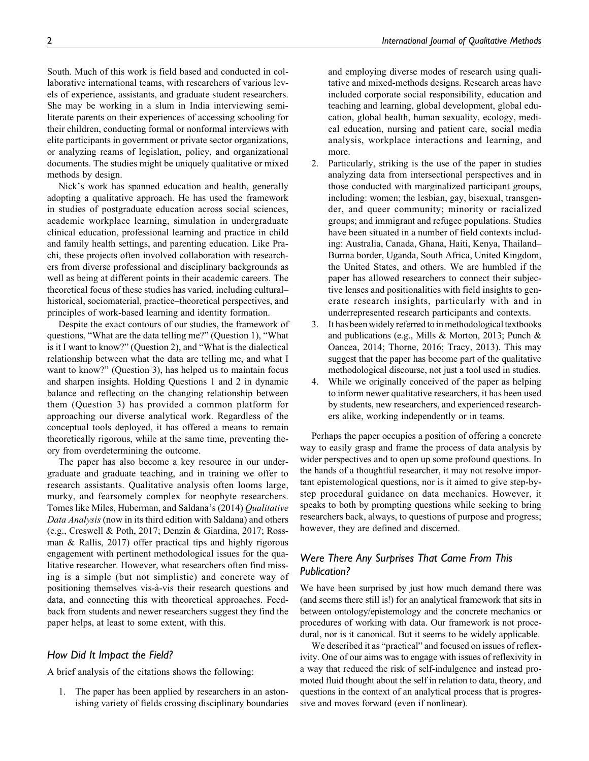South. Much of this work is field based and conducted in collaborative international teams, with researchers of various levels of experience, assistants, and graduate student researchers. She may be working in a slum in India interviewing semiliterate parents on their experiences of accessing schooling for their children, conducting formal or nonformal interviews with elite participants in government or private sector organizations, or analyzing reams of legislation, policy, and organizational documents. The studies might be uniquely qualitative or mixed methods by design.

Nick's work has spanned education and health, generally adopting a qualitative approach. He has used the framework in studies of postgraduate education across social sciences, academic workplace learning, simulation in undergraduate clinical education, professional learning and practice in child and family health settings, and parenting education. Like Prachi, these projects often involved collaboration with researchers from diverse professional and disciplinary backgrounds as well as being at different points in their academic careers. The theoretical focus of these studies has varied, including cultural– historical, sociomaterial, practice–theoretical perspectives, and principles of work-based learning and identity formation.

Despite the exact contours of our studies, the framework of questions, "What are the data telling me?" (Question 1), "What is it I want to know?" (Question 2), and "What is the dialectical relationship between what the data are telling me, and what I want to know?" (Question 3), has helped us to maintain focus and sharpen insights. Holding Questions 1 and 2 in dynamic balance and reflecting on the changing relationship between them (Question 3) has provided a common platform for approaching our diverse analytical work. Regardless of the conceptual tools deployed, it has offered a means to remain theoretically rigorous, while at the same time, preventing theory from overdetermining the outcome.

The paper has also become a key resource in our undergraduate and graduate teaching, and in training we offer to research assistants. Qualitative analysis often looms large, murky, and fearsomely complex for neophyte researchers. Tomes like Miles, Huberman, and Saldana's (2014) Qualitative Data Analysis (now in its third edition with Saldana) and others (e.g., Creswell & Poth, 2017; Denzin & Giardina, 2017; Rossman & Rallis, 2017) offer practical tips and highly rigorous engagement with pertinent methodological issues for the qualitative researcher. However, what researchers often find missing is a simple (but not simplistic) and concrete way of positioning themselves vis-a`-vis their research questions and data, and connecting this with theoretical approaches. Feedback from students and newer researchers suggest they find the paper helps, at least to some extent, with this.

#### How Did It Impact the Field?

A brief analysis of the citations shows the following:

1. The paper has been applied by researchers in an astonishing variety of fields crossing disciplinary boundaries and employing diverse modes of research using qualitative and mixed-methods designs. Research areas have included corporate social responsibility, education and teaching and learning, global development, global education, global health, human sexuality, ecology, medical education, nursing and patient care, social media analysis, workplace interactions and learning, and more.

- 2. Particularly, striking is the use of the paper in studies analyzing data from intersectional perspectives and in those conducted with marginalized participant groups, including: women; the lesbian, gay, bisexual, transgender, and queer community; minority or racialized groups; and immigrant and refugee populations. Studies have been situated in a number of field contexts including: Australia, Canada, Ghana, Haiti, Kenya, Thailand– Burma border, Uganda, South Africa, United Kingdom, the United States, and others. We are humbled if the paper has allowed researchers to connect their subjective lenses and positionalities with field insights to generate research insights, particularly with and in underrepresented research participants and contexts.
- 3. It has been widely referredto in methodological textbooks and publications (e.g., Mills & Morton, 2013; Punch & Oancea, 2014; Thorne, 2016; Tracy, 2013). This may suggest that the paper has become part of the qualitative methodological discourse, not just a tool used in studies.
- 4. While we originally conceived of the paper as helping to inform newer qualitative researchers, it has been used by students, new researchers, and experienced researchers alike, working independently or in teams.

Perhaps the paper occupies a position of offering a concrete way to easily grasp and frame the process of data analysis by wider perspectives and to open up some profound questions. In the hands of a thoughtful researcher, it may not resolve important epistemological questions, nor is it aimed to give step-bystep procedural guidance on data mechanics. However, it speaks to both by prompting questions while seeking to bring researchers back, always, to questions of purpose and progress; however, they are defined and discerned.

#### Were There Any Surprises That Came From This Publication?

We have been surprised by just how much demand there was (and seems there still is!) for an analytical framework that sits in between ontology/epistemology and the concrete mechanics or procedures of working with data. Our framework is not procedural, nor is it canonical. But it seems to be widely applicable.

We described it as "practical" and focused on issues of reflexivity. One of our aims was to engage with issues of reflexivity in a way that reduced the risk of self-indulgence and instead promoted fluid thought about the self in relation to data, theory, and questions in the context of an analytical process that is progressive and moves forward (even if nonlinear).